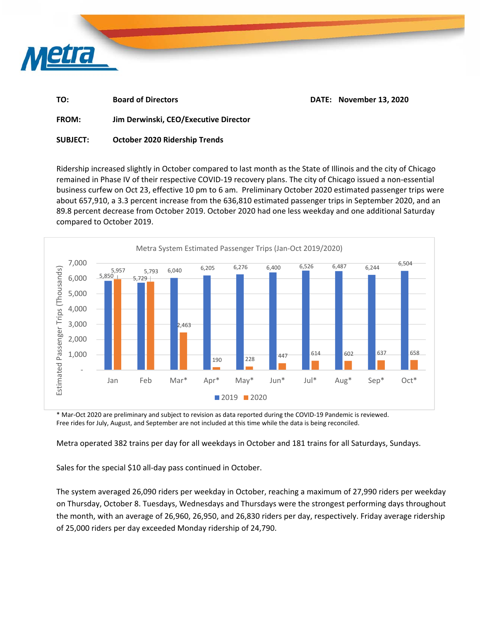

| TO: | <b>Board of Directors</b> | DATE: November 13, 2020 |
|-----|---------------------------|-------------------------|
|     |                           |                         |

**FROM: Jim Derwinski, CEO/Executive Director** 

**SUBJECT: October 2020 Ridership Trends** 

Ridership increased slightly in October compared to last month as the State of Illinois and the city of Chicago remained in Phase IV of their respective COVID‐19 recovery plans. The city of Chicago issued a non‐essential business curfew on Oct 23, effective 10 pm to 6 am. Preliminary October 2020 estimated passenger trips were about 657,910, a 3.3 percent increase from the 636,810 estimated passenger trips in September 2020, and an 89.8 percent decrease from October 2019. October 2020 had one less weekday and one additional Saturday compared to October 2019.



\* Mar‐Oct 2020 are preliminary and subject to revision as data reported during the COVID‐19 Pandemic is reviewed. Free rides for July, August, and September are not included at this time while the data is being reconciled.

Metra operated 382 trains per day for all weekdays in October and 181 trains for all Saturdays, Sundays.

Sales for the special \$10 all-day pass continued in October.

The system averaged 26,090 riders per weekday in October, reaching a maximum of 27,990 riders per weekday on Thursday, October 8. Tuesdays, Wednesdays and Thursdays were the strongest performing days throughout the month, with an average of 26,960, 26,950, and 26,830 riders per day, respectively. Friday average ridership of 25,000 riders per day exceeded Monday ridership of 24,790.